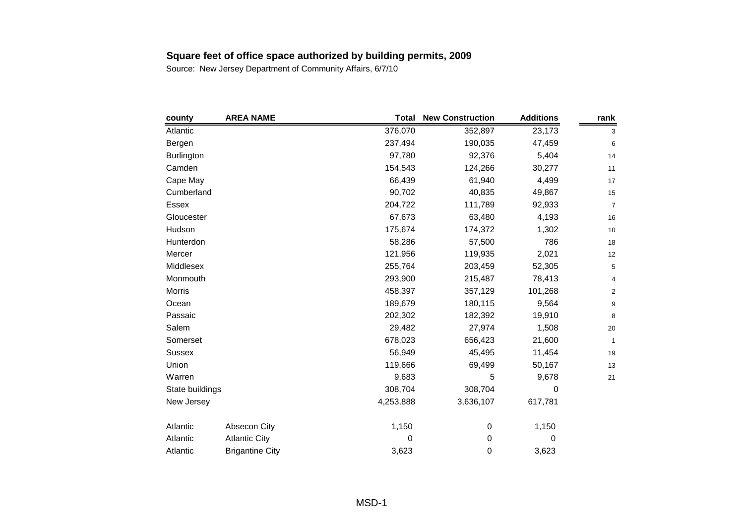| county            | <b>AREA NAME</b>       | <b>Total</b> | <b>New Construction</b> | <b>Additions</b> | rank           |
|-------------------|------------------------|--------------|-------------------------|------------------|----------------|
| Atlantic          |                        | 376,070      | 352,897                 | 23,173           | 3              |
| Bergen            |                        | 237,494      | 190,035                 | 47,459           | 6              |
| <b>Burlington</b> |                        | 97,780       | 92,376                  | 5,404            | 14             |
| Camden            |                        | 154,543      | 124,266                 | 30,277           | 11             |
| Cape May          |                        | 66,439       | 61,940                  | 4,499            | 17             |
| Cumberland        |                        | 90,702       | 40,835                  | 49,867           | 15             |
| Essex             |                        | 204,722      | 111,789                 | 92,933           | $\overline{7}$ |
| Gloucester        |                        | 67,673       | 63,480                  | 4,193            | 16             |
| Hudson            |                        | 175,674      | 174,372                 | 1,302            | 10             |
| Hunterdon         |                        | 58,286       | 57,500                  | 786              | 18             |
| Mercer            |                        | 121,956      | 119,935                 | 2,021            | 12             |
| Middlesex         |                        | 255,764      | 203,459                 | 52,305           | 5              |
| Monmouth          |                        | 293,900      | 215,487                 | 78,413           | 4              |
| Morris            |                        | 458,397      | 357,129                 | 101,268          | $\overline{2}$ |
| Ocean             |                        | 189,679      | 180,115                 | 9,564            | 9              |
| Passaic           |                        | 202,302      | 182,392                 | 19,910           | 8              |
| Salem             |                        | 29,482       | 27,974                  | 1,508            | 20             |
| Somerset          |                        | 678,023      | 656,423                 | 21,600           | $\mathbf{1}$   |
| <b>Sussex</b>     |                        | 56,949       | 45,495                  | 11,454           | 19             |
| Union             |                        | 119,666      | 69,499                  | 50,167           | 13             |
| Warren            |                        | 9,683        | 5                       | 9,678            | 21             |
| State buildings   |                        | 308,704      | 308,704                 | 0                |                |
| New Jersey        |                        | 4,253,888    | 3,636,107               | 617,781          |                |
| Atlantic          | Absecon City           | 1,150        | 0                       | 1,150            |                |
| Atlantic          | <b>Atlantic City</b>   | 0            | 0                       | 0                |                |
| Atlantic          | <b>Brigantine City</b> | 3,623        | 0                       | 3,623            |                |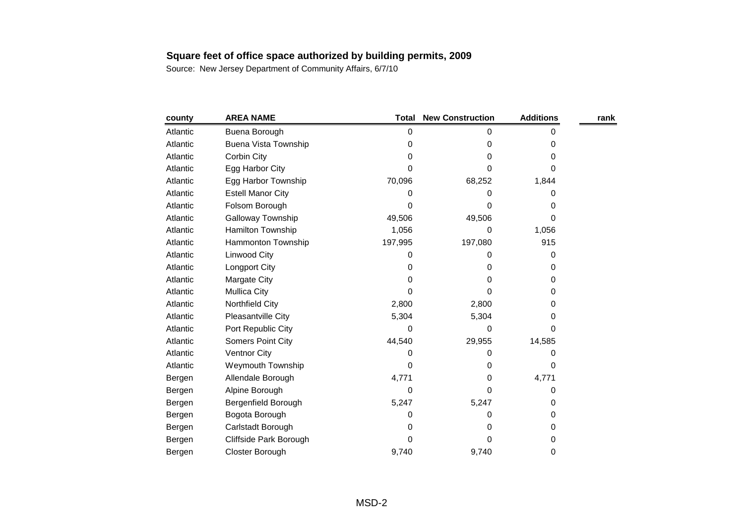| county   | <b>AREA NAME</b>         | <b>Total</b> | <b>New Construction</b> | <b>Additions</b> | rank |
|----------|--------------------------|--------------|-------------------------|------------------|------|
| Atlantic | Buena Borough            | 0            | 0                       | 0                |      |
| Atlantic | Buena Vista Township     | 0            | 0                       | 0                |      |
| Atlantic | Corbin City              | 0            | 0                       | 0                |      |
| Atlantic | Egg Harbor City          | 0            | 0                       | 0                |      |
| Atlantic | Egg Harbor Township      | 70,096       | 68,252                  | 1,844            |      |
| Atlantic | <b>Estell Manor City</b> | 0            | 0                       | 0                |      |
| Atlantic | Folsom Borough           | O            | 0                       | 0                |      |
| Atlantic | <b>Galloway Township</b> | 49,506       | 49,506                  | 0                |      |
| Atlantic | Hamilton Township        | 1,056        | 0                       | 1,056            |      |
| Atlantic | Hammonton Township       | 197,995      | 197,080                 | 915              |      |
| Atlantic | Linwood City             | 0            | 0                       | 0                |      |
| Atlantic | Longport City            | 0            | 0                       | 0                |      |
| Atlantic | <b>Margate City</b>      | 0            | 0                       | 0                |      |
| Atlantic | <b>Mullica City</b>      | 0            | 0                       | 0                |      |
| Atlantic | Northfield City          | 2,800        | 2,800                   | 0                |      |
| Atlantic | Pleasantville City       | 5,304        | 5,304                   | 0                |      |
| Atlantic | Port Republic City       | 0            | 0                       | 0                |      |
| Atlantic | <b>Somers Point City</b> | 44,540       | 29,955                  | 14,585           |      |
| Atlantic | <b>Ventnor City</b>      | 0            | 0                       | 0                |      |
| Atlantic | Weymouth Township        | 0            | 0                       | 0                |      |
| Bergen   | Allendale Borough        | 4,771        | 0                       | 4,771            |      |
| Bergen   | Alpine Borough           | 0            | 0                       | 0                |      |
| Bergen   | Bergenfield Borough      | 5,247        | 5,247                   | 0                |      |
| Bergen   | Bogota Borough           | 0            | 0                       | 0                |      |
| Bergen   | Carlstadt Borough        | 0            | 0                       | 0                |      |
| Bergen   | Cliffside Park Borough   | 0            | 0                       | 0                |      |
| Bergen   | Closter Borough          | 9,740        | 9,740                   | 0                |      |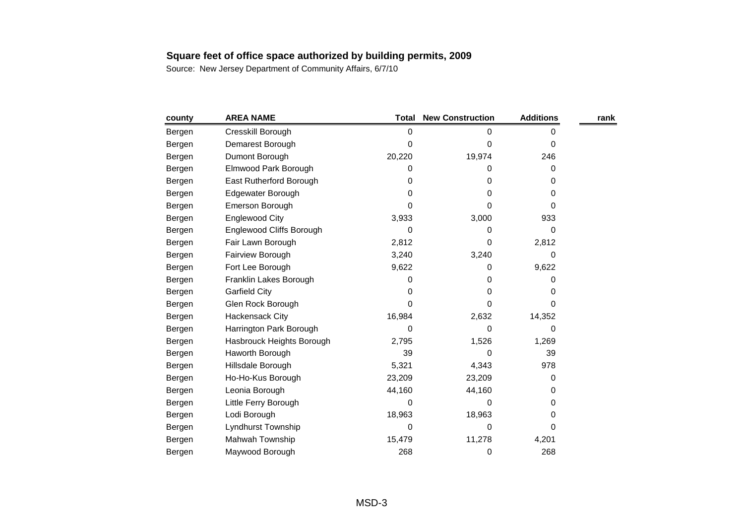| county | <b>AREA NAME</b>          | <b>Total</b> | <b>New Construction</b> | <b>Additions</b> | rank |
|--------|---------------------------|--------------|-------------------------|------------------|------|
| Bergen | Cresskill Borough         | 0            | 0                       | 0                |      |
| Bergen | Demarest Borough          | 0            | 0                       | 0                |      |
| Bergen | Dumont Borough            | 20,220       | 19,974                  | 246              |      |
| Bergen | Elmwood Park Borough      | 0            | 0                       | 0                |      |
| Bergen | East Rutherford Borough   | 0            | 0                       | 0                |      |
| Bergen | Edgewater Borough         | 0            | 0                       | 0                |      |
| Bergen | Emerson Borough           | $\Omega$     | 0                       | 0                |      |
| Bergen | <b>Englewood City</b>     | 3,933        | 3,000                   | 933              |      |
| Bergen | Englewood Cliffs Borough  | 0            | 0                       | 0                |      |
| Bergen | Fair Lawn Borough         | 2,812        | 0                       | 2,812            |      |
| Bergen | Fairview Borough          | 3,240        | 3,240                   | 0                |      |
| Bergen | Fort Lee Borough          | 9,622        | 0                       | 9,622            |      |
| Bergen | Franklin Lakes Borough    | 0            | 0                       | 0                |      |
| Bergen | <b>Garfield City</b>      | 0            | 0                       | 0                |      |
| Bergen | Glen Rock Borough         | 0            | 0                       | 0                |      |
| Bergen | Hackensack City           | 16,984       | 2,632                   | 14,352           |      |
| Bergen | Harrington Park Borough   | 0            | 0                       | 0                |      |
| Bergen | Hasbrouck Heights Borough | 2,795        | 1,526                   | 1,269            |      |
| Bergen | Haworth Borough           | 39           | 0                       | 39               |      |
| Bergen | Hillsdale Borough         | 5,321        | 4,343                   | 978              |      |
| Bergen | Ho-Ho-Kus Borough         | 23,209       | 23,209                  | $\Omega$         |      |
| Bergen | Leonia Borough            | 44,160       | 44,160                  | 0                |      |
| Bergen | Little Ferry Borough      | $\Omega$     | 0                       | 0                |      |
| Bergen | Lodi Borough              | 18,963       | 18,963                  | 0                |      |
| Bergen | Lyndhurst Township        | 0            | 0                       | 0                |      |
| Bergen | Mahwah Township           | 15,479       | 11,278                  | 4,201            |      |
| Bergen | Maywood Borough           | 268          | 0                       | 268              |      |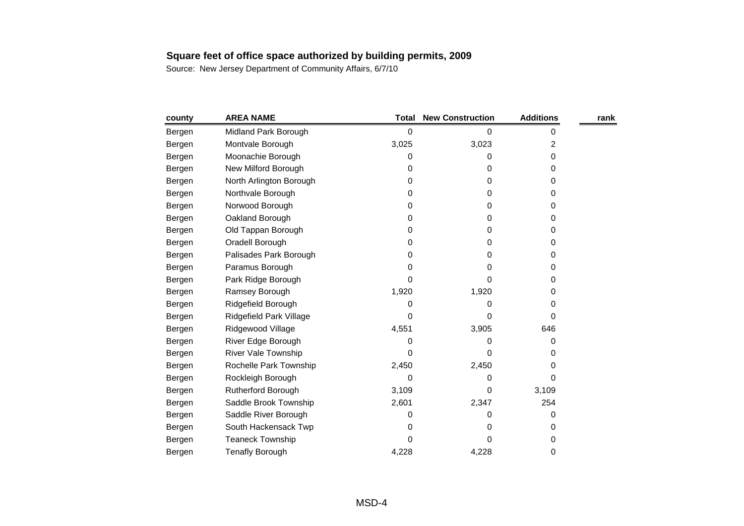| county | <b>AREA NAME</b>           | Total | <b>New Construction</b> | <b>Additions</b> | rank |
|--------|----------------------------|-------|-------------------------|------------------|------|
| Bergen | Midland Park Borough       | 0     | 0                       | 0                |      |
| Bergen | Montvale Borough           | 3,025 | 3,023                   | 2                |      |
| Bergen | Moonachie Borough          | 0     | 0                       | 0                |      |
| Bergen | New Milford Borough        | 0     | 0                       | 0                |      |
| Bergen | North Arlington Borough    | 0     | 0                       | 0                |      |
| Bergen | Northvale Borough          | 0     | 0                       | 0                |      |
| Bergen | Norwood Borough            | 0     | 0                       | 0                |      |
| Bergen | Oakland Borough            | 0     | 0                       | 0                |      |
| Bergen | Old Tappan Borough         | 0     | 0                       | 0                |      |
| Bergen | Oradell Borough            | 0     | 0                       | 0                |      |
| Bergen | Palisades Park Borough     | 0     | 0                       | 0                |      |
| Bergen | Paramus Borough            | 0     | 0                       | 0                |      |
| Bergen | Park Ridge Borough         | 0     | 0                       | 0                |      |
| Bergen | Ramsey Borough             | 1,920 | 1,920                   | 0                |      |
| Bergen | Ridgefield Borough         | 0     | 0                       | 0                |      |
| Bergen | Ridgefield Park Village    | 0     | 0                       | 0                |      |
| Bergen | Ridgewood Village          | 4,551 | 3,905                   | 646              |      |
| Bergen | River Edge Borough         | 0     | 0                       | 0                |      |
| Bergen | <b>River Vale Township</b> | 0     | 0                       | 0                |      |
| Bergen | Rochelle Park Township     | 2,450 | 2,450                   | 0                |      |
| Bergen | Rockleigh Borough          | 0     | 0                       | 0                |      |
| Bergen | <b>Rutherford Borough</b>  | 3,109 | 0                       | 3,109            |      |
| Bergen | Saddle Brook Township      | 2,601 | 2,347                   | 254              |      |
| Bergen | Saddle River Borough       | 0     | 0                       | 0                |      |
| Bergen | South Hackensack Twp       | 0     | 0                       | 0                |      |
| Bergen | <b>Teaneck Township</b>    | 0     | 0                       | 0                |      |
| Bergen | <b>Tenafly Borough</b>     | 4,228 | 4,228                   | 0                |      |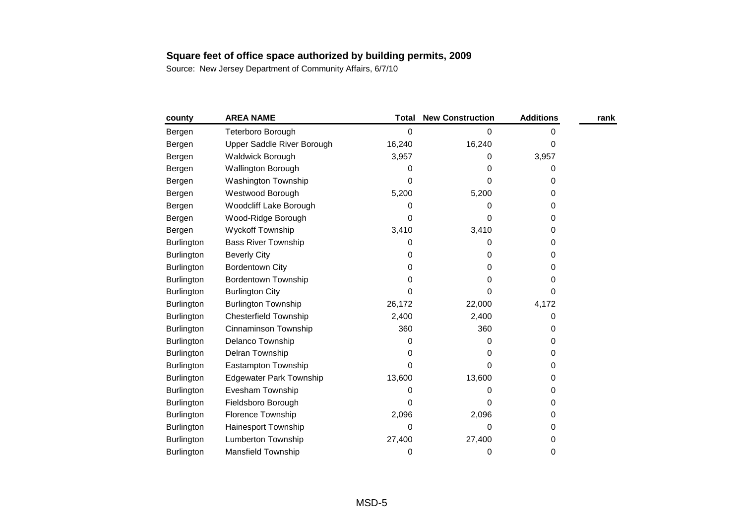| county            | <b>AREA NAME</b>               | Total  | <b>New Construction</b> | <b>Additions</b> | rank |
|-------------------|--------------------------------|--------|-------------------------|------------------|------|
| Bergen            | Teterboro Borough              | 0      | 0                       | 0                |      |
| Bergen            | Upper Saddle River Borough     | 16,240 | 16,240                  | 0                |      |
| Bergen            | Waldwick Borough               | 3,957  | 0                       | 3,957            |      |
| Bergen            | <b>Wallington Borough</b>      | 0      | 0                       | 0                |      |
| Bergen            | Washington Township            | 0      | 0                       | 0                |      |
| Bergen            | Westwood Borough               | 5,200  | 5,200                   | 0                |      |
| Bergen            | Woodcliff Lake Borough         | 0      | 0                       | 0                |      |
| Bergen            | Wood-Ridge Borough             | 0      | 0                       | 0                |      |
| Bergen            | <b>Wyckoff Township</b>        | 3,410  | 3,410                   | 0                |      |
| Burlington        | <b>Bass River Township</b>     | 0      | 0                       | 0                |      |
| Burlington        | <b>Beverly City</b>            | 0      | 0                       | 0                |      |
| <b>Burlington</b> | <b>Bordentown City</b>         | 0      | 0                       | 0                |      |
| <b>Burlington</b> | <b>Bordentown Township</b>     | 0      | 0                       | 0                |      |
| <b>Burlington</b> | <b>Burlington City</b>         | 0      | 0                       | 0                |      |
| <b>Burlington</b> | <b>Burlington Township</b>     | 26,172 | 22,000                  | 4,172            |      |
| Burlington        | <b>Chesterfield Township</b>   | 2,400  | 2,400                   | 0                |      |
| Burlington        | Cinnaminson Township           | 360    | 360                     | 0                |      |
| Burlington        | Delanco Township               | 0      | 0                       | 0                |      |
| <b>Burlington</b> | Delran Township                | 0      | 0                       | 0                |      |
| <b>Burlington</b> | Eastampton Township            | 0      | 0                       | 0                |      |
| <b>Burlington</b> | <b>Edgewater Park Township</b> | 13,600 | 13,600                  | 0                |      |
| <b>Burlington</b> | Evesham Township               | 0      | 0                       | 0                |      |
| Burlington        | Fieldsboro Borough             | 0      | 0                       | 0                |      |
| <b>Burlington</b> | Florence Township              | 2,096  | 2,096                   | 0                |      |
| <b>Burlington</b> | Hainesport Township            | 0      | $\Omega$                | 0                |      |
| Burlington        | <b>Lumberton Township</b>      | 27,400 | 27,400                  | 0                |      |
| Burlington        | Mansfield Township             | 0      | 0                       | 0                |      |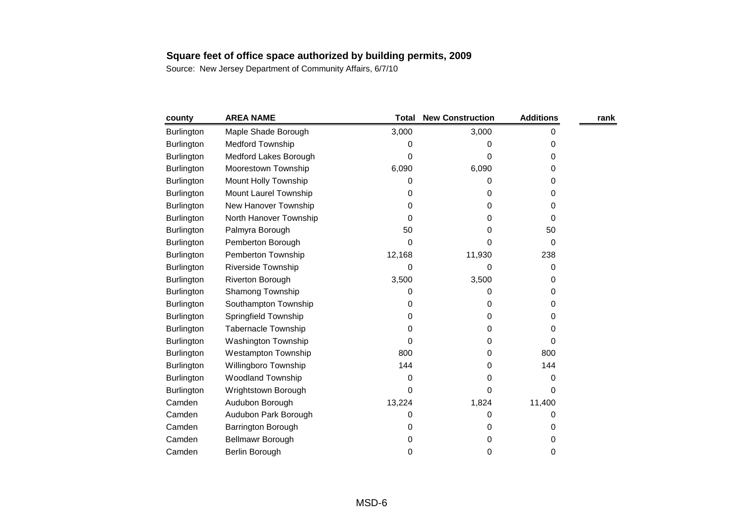| county            | <b>AREA NAME</b>           | <b>Total</b> | <b>New Construction</b> | <b>Additions</b> | rank |
|-------------------|----------------------------|--------------|-------------------------|------------------|------|
| Burlington        | Maple Shade Borough        | 3,000        | 3,000                   | 0                |      |
| <b>Burlington</b> | <b>Medford Township</b>    | 0            | 0                       | 0                |      |
| <b>Burlington</b> | Medford Lakes Borough      | 0            | 0                       | 0                |      |
| <b>Burlington</b> | Moorestown Township        | 6,090        | 6,090                   | 0                |      |
| Burlington        | Mount Holly Township       | 0            | 0                       | 0                |      |
| <b>Burlington</b> | Mount Laurel Township      | 0            | 0                       | 0                |      |
| Burlington        | New Hanover Township       | 0            | 0                       | 0                |      |
| <b>Burlington</b> | North Hanover Township     | 0            | 0                       | 0                |      |
| <b>Burlington</b> | Palmyra Borough            | 50           | 0                       | 50               |      |
| Burlington        | Pemberton Borough          | 0            | 0                       | 0                |      |
| <b>Burlington</b> | Pemberton Township         | 12,168       | 11,930                  | 238              |      |
| <b>Burlington</b> | Riverside Township         | 0            | 0                       | 0                |      |
| <b>Burlington</b> | Riverton Borough           | 3,500        | 3,500                   | 0                |      |
| <b>Burlington</b> | Shamong Township           | 0            | 0                       | 0                |      |
| <b>Burlington</b> | Southampton Township       | 0            | 0                       | 0                |      |
| <b>Burlington</b> | Springfield Township       | 0            | 0                       | 0                |      |
| <b>Burlington</b> | <b>Tabernacle Township</b> | 0            | 0                       | 0                |      |
| <b>Burlington</b> | Washington Township        | 0            | 0                       | 0                |      |
| <b>Burlington</b> | <b>Westampton Township</b> | 800          | 0                       | 800              |      |
| <b>Burlington</b> | Willingboro Township       | 144          | 0                       | 144              |      |
| <b>Burlington</b> | <b>Woodland Township</b>   | 0            | 0                       | 0                |      |
| <b>Burlington</b> | Wrightstown Borough        | 0            | 0                       | 0                |      |
| Camden            | Audubon Borough            | 13,224       | 1,824                   | 11,400           |      |
| Camden            | Audubon Park Borough       | 0            | 0                       | 0                |      |
| Camden            | Barrington Borough         | 0            | 0                       | 0                |      |
| Camden            | Bellmawr Borough           | 0            | 0                       | 0                |      |
| Camden            | Berlin Borough             | 0            | 0                       | 0                |      |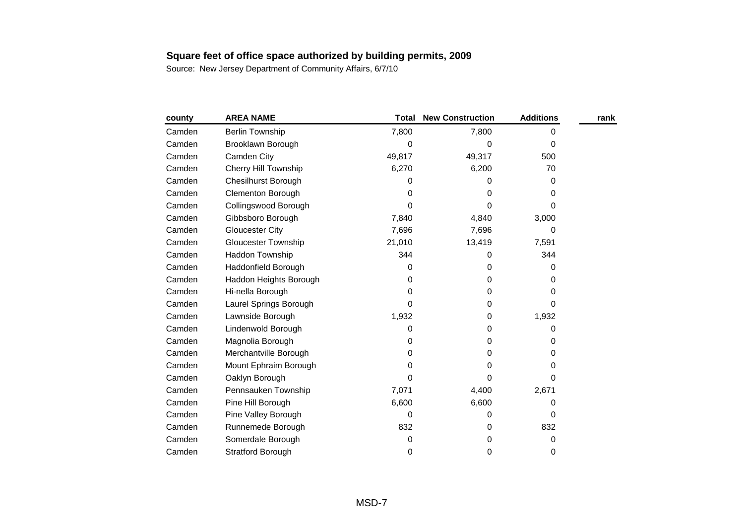| county | <b>AREA NAME</b>            | <b>Total</b> | <b>New Construction</b> | <b>Additions</b> | rank |
|--------|-----------------------------|--------------|-------------------------|------------------|------|
| Camden | <b>Berlin Township</b>      | 7,800        | 7,800                   | 0                |      |
| Camden | Brooklawn Borough           | 0            | 0                       | $\Omega$         |      |
| Camden | Camden City                 | 49,817       | 49,317                  | 500              |      |
| Camden | <b>Cherry Hill Township</b> | 6,270        | 6,200                   | 70               |      |
| Camden | <b>Chesilhurst Borough</b>  | 0            | 0                       | 0                |      |
| Camden | Clementon Borough           | 0            | O                       | 0                |      |
| Camden | Collingswood Borough        | 0            | 0                       | 0                |      |
| Camden | Gibbsboro Borough           | 7,840        | 4,840                   | 3,000            |      |
| Camden | <b>Gloucester City</b>      | 7,696        | 7,696                   | 0                |      |
| Camden | <b>Gloucester Township</b>  | 21,010       | 13,419                  | 7,591            |      |
| Camden | Haddon Township             | 344          | 0                       | 344              |      |
| Camden | Haddonfield Borough         | 0            | 0                       | 0                |      |
| Camden | Haddon Heights Borough      | 0            | 0                       | 0                |      |
| Camden | Hi-nella Borough            | 0            | 0                       | 0                |      |
| Camden | Laurel Springs Borough      | $\Omega$     | 0                       | 0                |      |
| Camden | Lawnside Borough            | 1,932        | 0                       | 1,932            |      |
| Camden | Lindenwold Borough          | 0            | 0                       | 0                |      |
| Camden | Magnolia Borough            | 0            | 0                       | 0                |      |
| Camden | Merchantville Borough       | 0            | 0                       | 0                |      |
| Camden | Mount Ephraim Borough       | 0            | 0                       | 0                |      |
| Camden | Oaklyn Borough              | 0            | 0                       | $\Omega$         |      |
| Camden | Pennsauken Township         | 7,071        | 4,400                   | 2,671            |      |
| Camden | Pine Hill Borough           | 6,600        | 6,600                   | 0                |      |
| Camden | Pine Valley Borough         | 0            | 0                       | 0                |      |
| Camden | Runnemede Borough           | 832          | 0                       | 832              |      |
| Camden | Somerdale Borough           | 0            | 0                       | 0                |      |
| Camden | <b>Stratford Borough</b>    | 0            | 0                       | 0                |      |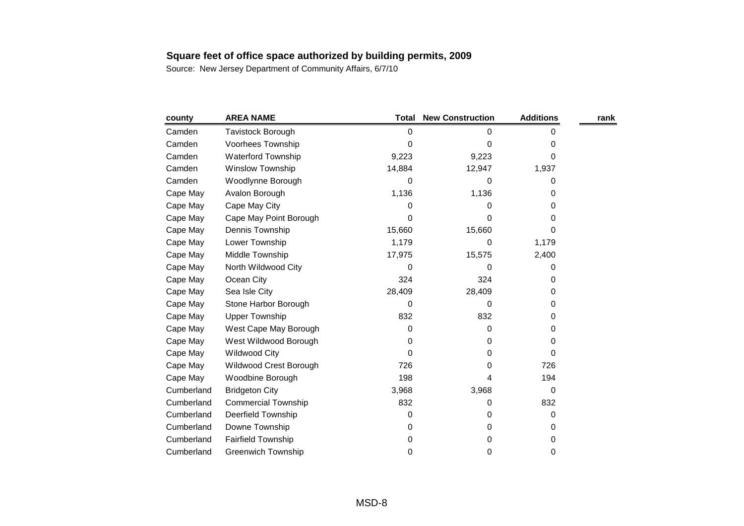| county     | <b>AREA NAME</b>           | Total  | <b>New Construction</b> | <b>Additions</b> | rank |
|------------|----------------------------|--------|-------------------------|------------------|------|
| Camden     | Tavistock Borough          | 0      | 0                       | 0                |      |
| Camden     | Voorhees Township          | 0      | 0                       | 0                |      |
| Camden     | <b>Waterford Township</b>  | 9,223  | 9,223                   | 0                |      |
| Camden     | Winslow Township           | 14,884 | 12,947                  | 1,937            |      |
| Camden     | Woodlynne Borough          | 0      | 0                       | 0                |      |
| Cape May   | Avalon Borough             | 1,136  | 1,136                   | 0                |      |
| Cape May   | Cape May City              | 0      | 0                       | 0                |      |
| Cape May   | Cape May Point Borough     | 0      | 0                       | 0                |      |
| Cape May   | Dennis Township            | 15,660 | 15,660                  | 0                |      |
| Cape May   | Lower Township             | 1,179  | 0                       | 1,179            |      |
| Cape May   | Middle Township            | 17,975 | 15,575                  | 2,400            |      |
| Cape May   | North Wildwood City        | 0      | 0                       | 0                |      |
| Cape May   | Ocean City                 | 324    | 324                     | 0                |      |
| Cape May   | Sea Isle City              | 28,409 | 28,409                  | 0                |      |
| Cape May   | Stone Harbor Borough       | 0      | 0                       | 0                |      |
| Cape May   | <b>Upper Township</b>      | 832    | 832                     | 0                |      |
| Cape May   | West Cape May Borough      | 0      | 0                       | 0                |      |
| Cape May   | West Wildwood Borough      | 0      | 0                       | 0                |      |
| Cape May   | <b>Wildwood City</b>       | 0      | 0                       | 0                |      |
| Cape May   | Wildwood Crest Borough     | 726    | 0                       | 726              |      |
| Cape May   | Woodbine Borough           | 198    | 4                       | 194              |      |
| Cumberland | <b>Bridgeton City</b>      | 3,968  | 3,968                   | 0                |      |
| Cumberland | <b>Commercial Township</b> | 832    | 0                       | 832              |      |
| Cumberland | Deerfield Township         | 0      | 0                       | 0                |      |
| Cumberland | Downe Township             | 0      | 0                       | 0                |      |
| Cumberland | Fairfield Township         | 0      | 0                       | 0                |      |
| Cumberland | <b>Greenwich Township</b>  | 0      | 0                       | 0                |      |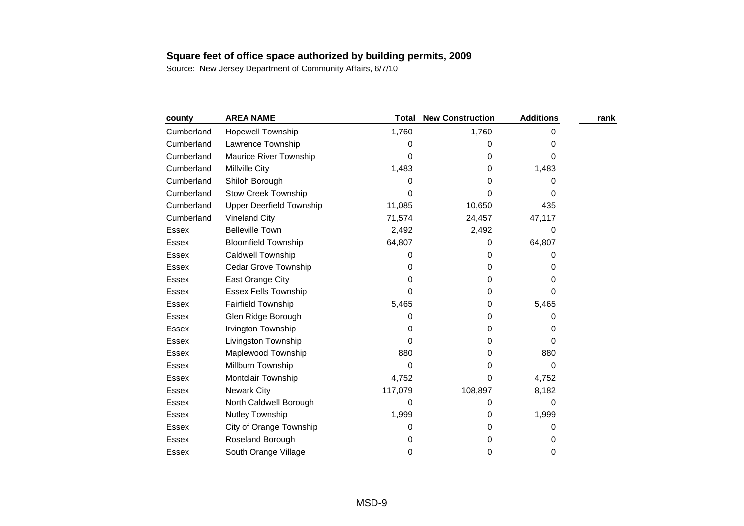| county       | <b>AREA NAME</b>                | <b>Total</b> | <b>New Construction</b> | <b>Additions</b> | rank |
|--------------|---------------------------------|--------------|-------------------------|------------------|------|
| Cumberland   | Hopewell Township               | 1,760        | 1,760                   | 0                |      |
| Cumberland   | Lawrence Township               | 0            | O                       | 0                |      |
| Cumberland   | <b>Maurice River Township</b>   | 0            | 0                       | 0                |      |
| Cumberland   | <b>Millville City</b>           | 1,483        | 0                       | 1,483            |      |
| Cumberland   | Shiloh Borough                  | 0            | 0                       | 0                |      |
| Cumberland   | <b>Stow Creek Township</b>      | 0            | 0                       | 0                |      |
| Cumberland   | <b>Upper Deerfield Township</b> | 11,085       | 10,650                  | 435              |      |
| Cumberland   | <b>Vineland City</b>            | 71,574       | 24,457                  | 47,117           |      |
| Essex        | <b>Belleville Town</b>          | 2,492        | 2,492                   | 0                |      |
| Essex        | <b>Bloomfield Township</b>      | 64,807       | 0                       | 64,807           |      |
| Essex        | Caldwell Township               | 0            | 0                       | 0                |      |
| Essex        | Cedar Grove Township            | 0            | 0                       | 0                |      |
| Essex        | East Orange City                | 0            | 0                       | 0                |      |
| Essex        | <b>Essex Fells Township</b>     | 0            | 0                       | 0                |      |
| Essex        | Fairfield Township              | 5,465        | 0                       | 5,465            |      |
| <b>Essex</b> | Glen Ridge Borough              | 0            | 0                       | 0                |      |
| Essex        | Irvington Township              | 0            | 0                       | 0                |      |
| Essex        | Livingston Township             | 0            | 0                       | 0                |      |
| <b>Essex</b> | Maplewood Township              | 880          | 0                       | 880              |      |
| Essex        | Millburn Township               | 0            | 0                       | 0                |      |
| <b>Essex</b> | Montclair Township              | 4,752        | 0                       | 4,752            |      |
| <b>Essex</b> | <b>Newark City</b>              | 117,079      | 108,897                 | 8,182            |      |
| Essex        | North Caldwell Borough          | 0            | 0                       | 0                |      |
| Essex        | Nutley Township                 | 1,999        | 0                       | 1,999            |      |
| <b>Essex</b> | City of Orange Township         | 0            | 0                       | 0                |      |
| <b>Essex</b> | Roseland Borough                | 0            | 0                       | 0                |      |
| <b>Essex</b> | South Orange Village            | 0            | 0                       | 0                |      |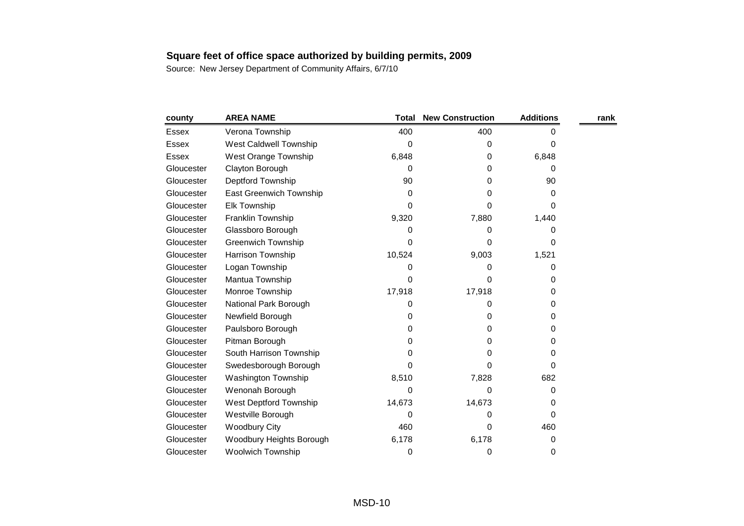| county       | <b>AREA NAME</b>         | Total  | <b>New Construction</b> | <b>Additions</b> | rank |
|--------------|--------------------------|--------|-------------------------|------------------|------|
| Essex        | Verona Township          | 400    | 400                     | 0                |      |
| <b>Essex</b> | West Caldwell Township   | 0      | 0                       | 0                |      |
| <b>Essex</b> | West Orange Township     | 6,848  | 0                       | 6,848            |      |
| Gloucester   | Clayton Borough          | 0      | 0                       | 0                |      |
| Gloucester   | Deptford Township        | 90     | 0                       | 90               |      |
| Gloucester   | East Greenwich Township  | 0      | 0                       | 0                |      |
| Gloucester   | <b>Elk Township</b>      | 0      | 0                       | 0                |      |
| Gloucester   | Franklin Township        | 9,320  | 7,880                   | 1,440            |      |
| Gloucester   | Glassboro Borough        | 0      | 0                       | 0                |      |
| Gloucester   | Greenwich Township       | 0      | 0                       | 0                |      |
| Gloucester   | <b>Harrison Township</b> | 10,524 | 9,003                   | 1,521            |      |
| Gloucester   | Logan Township           | 0      | 0                       | 0                |      |
| Gloucester   | Mantua Township          | 0      | 0                       | 0                |      |
| Gloucester   | Monroe Township          | 17,918 | 17,918                  | 0                |      |
| Gloucester   | National Park Borough    | 0      | 0                       | 0                |      |
| Gloucester   | Newfield Borough         | 0      | 0                       | 0                |      |
| Gloucester   | Paulsboro Borough        | 0      | 0                       | 0                |      |
| Gloucester   | Pitman Borough           | 0      | 0                       | 0                |      |
| Gloucester   | South Harrison Township  | 0      | 0                       | 0                |      |
| Gloucester   | Swedesborough Borough    | 0      | 0                       | 0                |      |
| Gloucester   | Washington Township      | 8,510  | 7,828                   | 682              |      |
| Gloucester   | Wenonah Borough          | 0      | 0                       | 0                |      |
| Gloucester   | West Deptford Township   | 14,673 | 14,673                  | 0                |      |
| Gloucester   | Westville Borough        | 0      | 0                       | 0                |      |
| Gloucester   | <b>Woodbury City</b>     | 460    | 0                       | 460              |      |
| Gloucester   | Woodbury Heights Borough | 6,178  | 6,178                   | 0                |      |
| Gloucester   | <b>Woolwich Township</b> | 0      | 0                       | 0                |      |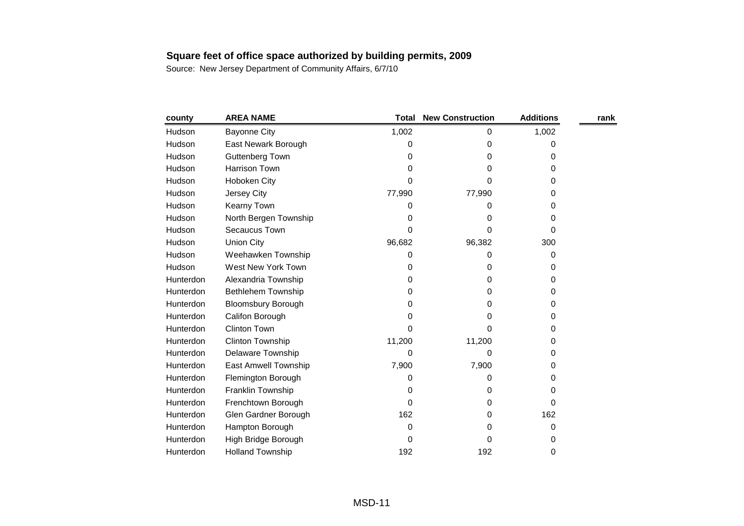| county    | <b>AREA NAME</b>          | <b>Total</b> | <b>New Construction</b> | <b>Additions</b> | rank |
|-----------|---------------------------|--------------|-------------------------|------------------|------|
| Hudson    | <b>Bayonne City</b>       | 1,002        | 0                       | 1,002            |      |
| Hudson    | East Newark Borough       | 0            | 0                       | 0                |      |
| Hudson    | Guttenberg Town           | 0            | 0                       | 0                |      |
| Hudson    | <b>Harrison Town</b>      | 0            | 0                       | 0                |      |
| Hudson    | Hoboken City              | 0            | 0                       | 0                |      |
| Hudson    | Jersey City               | 77,990       | 77,990                  | 0                |      |
| Hudson    | Kearny Town               | 0            | 0                       | 0                |      |
| Hudson    | North Bergen Township     | 0            | 0                       | 0                |      |
| Hudson    | Secaucus Town             | 0            | 0                       | 0                |      |
| Hudson    | <b>Union City</b>         | 96,682       | 96,382                  | 300              |      |
| Hudson    | Weehawken Township        | 0            | 0                       | 0                |      |
| Hudson    | West New York Town        | 0            | 0                       | 0                |      |
| Hunterdon | Alexandria Township       | 0            | 0                       | 0                |      |
| Hunterdon | <b>Bethlehem Township</b> | 0            | 0                       | 0                |      |
| Hunterdon | <b>Bloomsbury Borough</b> | 0            | 0                       | 0                |      |
| Hunterdon | Califon Borough           | 0            | 0                       | 0                |      |
| Hunterdon | <b>Clinton Town</b>       | 0            | 0                       | 0                |      |
| Hunterdon | Clinton Township          | 11,200       | 11,200                  | 0                |      |
| Hunterdon | Delaware Township         | 0            | 0                       | 0                |      |
| Hunterdon | East Amwell Township      | 7,900        | 7,900                   | 0                |      |
| Hunterdon | Flemington Borough        | 0            | 0                       | 0                |      |
| Hunterdon | Franklin Township         | 0            | 0                       | 0                |      |
| Hunterdon | Frenchtown Borough        | 0            | 0                       | 0                |      |
| Hunterdon | Glen Gardner Borough      | 162          | 0                       | 162              |      |
| Hunterdon | Hampton Borough           | 0            | 0                       | 0                |      |
| Hunterdon | High Bridge Borough       | 0            | 0                       | 0                |      |
| Hunterdon | <b>Holland Township</b>   | 192          | 192                     | 0                |      |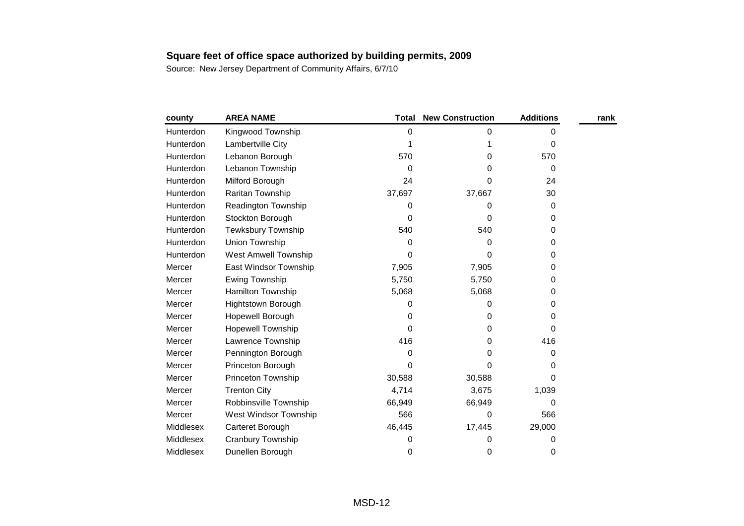| county    | <b>AREA NAME</b>            | <b>Total</b> | <b>New Construction</b> | <b>Additions</b> | rank |
|-----------|-----------------------------|--------------|-------------------------|------------------|------|
| Hunterdon | Kingwood Township           | 0            | 0                       | 0                |      |
| Hunterdon | Lambertville City           |              |                         | $\Omega$         |      |
| Hunterdon | Lebanon Borough             | 570          | 0                       | 570              |      |
| Hunterdon | Lebanon Township            | 0            | 0                       | 0                |      |
| Hunterdon | Milford Borough             | 24           | 0                       | 24               |      |
| Hunterdon | Raritan Township            | 37,697       | 37,667                  | 30               |      |
| Hunterdon | Readington Township         | 0            | 0                       | 0                |      |
| Hunterdon | Stockton Borough            | 0            | 0                       | 0                |      |
| Hunterdon | <b>Tewksbury Township</b>   | 540          | 540                     | 0                |      |
| Hunterdon | Union Township              | 0            | 0                       | 0                |      |
| Hunterdon | <b>West Amwell Township</b> | 0            | 0                       | 0                |      |
| Mercer    | East Windsor Township       | 7,905        | 7,905                   | 0                |      |
| Mercer    | Ewing Township              | 5,750        | 5,750                   | 0                |      |
| Mercer    | Hamilton Township           | 5,068        | 5,068                   | 0                |      |
| Mercer    | Hightstown Borough          | 0            | 0                       | 0                |      |
| Mercer    | Hopewell Borough            | 0            | 0                       | 0                |      |
| Mercer    | <b>Hopewell Township</b>    | 0            | 0                       | 0                |      |
| Mercer    | Lawrence Township           | 416          | 0                       | 416              |      |
| Mercer    | Pennington Borough          | 0            | 0                       | 0                |      |
| Mercer    | Princeton Borough           | 0            | 0                       | 0                |      |
| Mercer    | Princeton Township          | 30,588       | 30,588                  | 0                |      |
| Mercer    | <b>Trenton City</b>         | 4,714        | 3,675                   | 1,039            |      |
| Mercer    | Robbinsville Township       | 66,949       | 66,949                  | 0                |      |
| Mercer    | West Windsor Township       | 566          | 0                       | 566              |      |
| Middlesex | Carteret Borough            | 46,445       | 17,445                  | 29,000           |      |
| Middlesex | Cranbury Township           | 0            | 0                       | 0                |      |
| Middlesex | Dunellen Borough            | 0            | 0                       | 0                |      |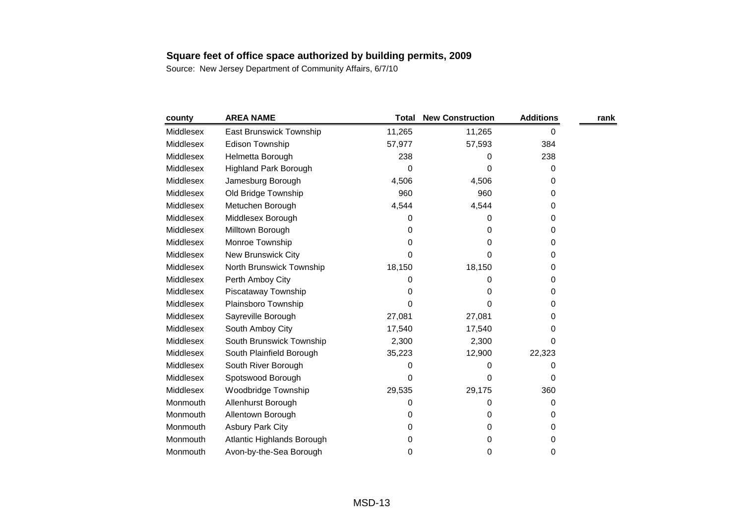| county    | <b>AREA NAME</b>             | Total  | <b>New Construction</b> | <b>Additions</b> | rank |
|-----------|------------------------------|--------|-------------------------|------------------|------|
| Middlesex | East Brunswick Township      | 11,265 | 11,265                  | 0                |      |
| Middlesex | <b>Edison Township</b>       | 57,977 | 57,593                  | 384              |      |
| Middlesex | Helmetta Borough             | 238    | 0                       | 238              |      |
| Middlesex | <b>Highland Park Borough</b> | 0      | 0                       | 0                |      |
| Middlesex | Jamesburg Borough            | 4,506  | 4,506                   | 0                |      |
| Middlesex | Old Bridge Township          | 960    | 960                     | 0                |      |
| Middlesex | Metuchen Borough             | 4,544  | 4,544                   | 0                |      |
| Middlesex | Middlesex Borough            | 0      | 0                       | 0                |      |
| Middlesex | Milltown Borough             | 0      | 0                       | 0                |      |
| Middlesex | Monroe Township              | 0      | 0                       | 0                |      |
| Middlesex | New Brunswick City           | 0      | 0                       | 0                |      |
| Middlesex | North Brunswick Township     | 18,150 | 18,150                  | 0                |      |
| Middlesex | Perth Amboy City             | 0      | 0                       | 0                |      |
| Middlesex | Piscataway Township          | 0      | 0                       | 0                |      |
| Middlesex | Plainsboro Township          | 0      | 0                       | 0                |      |
| Middlesex | Sayreville Borough           | 27,081 | 27,081                  | 0                |      |
| Middlesex | South Amboy City             | 17,540 | 17,540                  | 0                |      |
| Middlesex | South Brunswick Township     | 2,300  | 2,300                   | 0                |      |
| Middlesex | South Plainfield Borough     | 35,223 | 12,900                  | 22,323           |      |
| Middlesex | South River Borough          | 0      | 0                       | 0                |      |
| Middlesex | Spotswood Borough            | 0      | 0                       | 0                |      |
| Middlesex | Woodbridge Township          | 29,535 | 29,175                  | 360              |      |
| Monmouth  | Allenhurst Borough           | 0      | 0                       | 0                |      |
| Monmouth  | Allentown Borough            | 0      | 0                       | 0                |      |
| Monmouth  | <b>Asbury Park City</b>      | 0      | 0                       | 0                |      |
| Monmouth  | Atlantic Highlands Borough   | 0      | 0                       | 0                |      |
| Monmouth  | Avon-by-the-Sea Borough      | 0      | 0                       | 0                |      |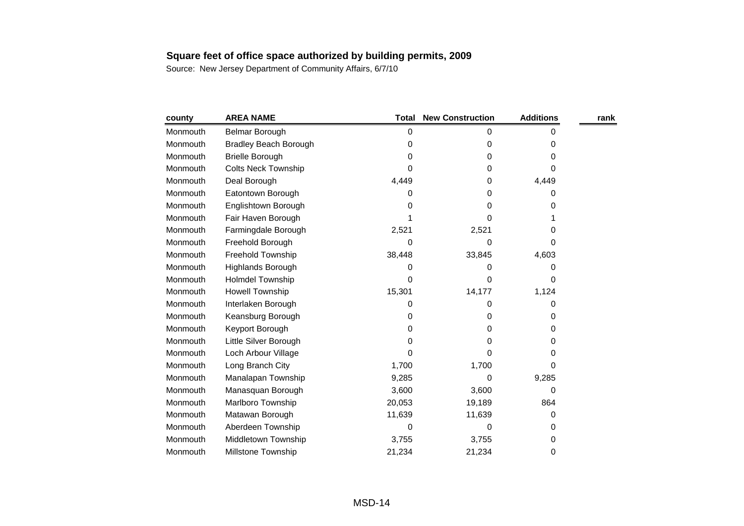| county   | <b>AREA NAME</b>             | <b>Total</b> | <b>New Construction</b> | <b>Additions</b> | rank |
|----------|------------------------------|--------------|-------------------------|------------------|------|
| Monmouth | <b>Belmar Borough</b>        | 0            | 0                       | 0                |      |
| Monmouth | <b>Bradley Beach Borough</b> | 0            | 0                       | 0                |      |
| Monmouth | <b>Brielle Borough</b>       | 0            | 0                       | 0                |      |
| Monmouth | Colts Neck Township          | 0            | 0                       | 0                |      |
| Monmouth | Deal Borough                 | 4,449        | 0                       | 4,449            |      |
| Monmouth | Eatontown Borough            | 0            | 0                       | 0                |      |
| Monmouth | Englishtown Borough          | 0            | 0                       | 0                |      |
| Monmouth | Fair Haven Borough           |              | 0                       |                  |      |
| Monmouth | Farmingdale Borough          | 2,521        | 2,521                   | 0                |      |
| Monmouth | Freehold Borough             | 0            | 0                       | 0                |      |
| Monmouth | Freehold Township            | 38,448       | 33,845                  | 4,603            |      |
| Monmouth | Highlands Borough            | 0            | 0                       | 0                |      |
| Monmouth | <b>Holmdel Township</b>      | 0            | 0                       | 0                |      |
| Monmouth | <b>Howell Township</b>       | 15,301       | 14,177                  | 1,124            |      |
| Monmouth | Interlaken Borough           | 0            | 0                       | 0                |      |
| Monmouth | Keansburg Borough            | 0            | 0                       | 0                |      |
| Monmouth | Keyport Borough              | 0            | 0                       | 0                |      |
| Monmouth | Little Silver Borough        | 0            | 0                       | 0                |      |
| Monmouth | Loch Arbour Village          | 0            | 0                       | 0                |      |
| Monmouth | Long Branch City             | 1,700        | 1,700                   | 0                |      |
| Monmouth | Manalapan Township           | 9,285        | 0                       | 9,285            |      |
| Monmouth | Manasquan Borough            | 3,600        | 3,600                   | 0                |      |
| Monmouth | Marlboro Township            | 20,053       | 19,189                  | 864              |      |
| Monmouth | Matawan Borough              | 11,639       | 11,639                  | 0                |      |
| Monmouth | Aberdeen Township            | 0            | 0                       | 0                |      |
| Monmouth | Middletown Township          | 3,755        | 3,755                   | 0                |      |
| Monmouth | <b>Millstone Township</b>    | 21,234       | 21,234                  | 0                |      |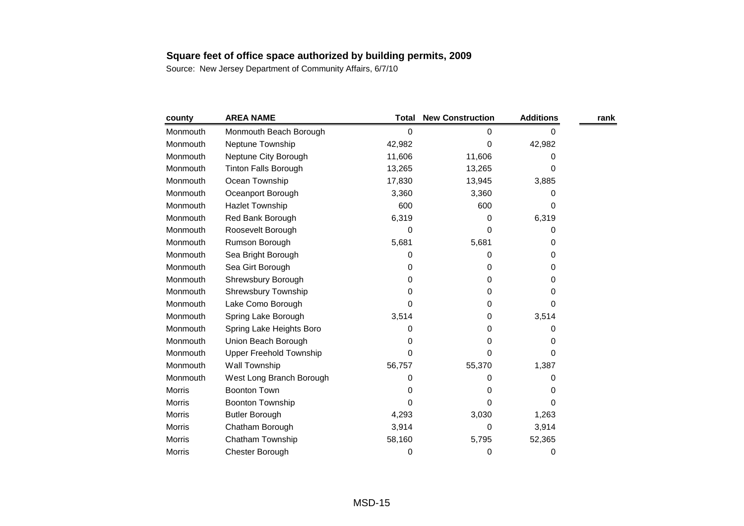| county        | <b>AREA NAME</b>               | <b>Total</b> | <b>New Construction</b> | <b>Additions</b> | rank |
|---------------|--------------------------------|--------------|-------------------------|------------------|------|
| Monmouth      | Monmouth Beach Borough         | 0            | 0                       | 0                |      |
| Monmouth      | Neptune Township               | 42,982       | 0                       | 42,982           |      |
| Monmouth      | Neptune City Borough           | 11,606       | 11,606                  | 0                |      |
| Monmouth      | <b>Tinton Falls Borough</b>    | 13,265       | 13,265                  | $\Omega$         |      |
| Monmouth      | Ocean Township                 | 17,830       | 13,945                  | 3,885            |      |
| Monmouth      | Oceanport Borough              | 3,360        | 3,360                   | 0                |      |
| Monmouth      | <b>Hazlet Township</b>         | 600          | 600                     | 0                |      |
| Monmouth      | Red Bank Borough               | 6,319        | 0                       | 6,319            |      |
| Monmouth      | Roosevelt Borough              | 0            | 0                       | 0                |      |
| Monmouth      | Rumson Borough                 | 5,681        | 5,681                   | 0                |      |
| Monmouth      | Sea Bright Borough             | 0            | 0                       | 0                |      |
| Monmouth      | Sea Girt Borough               | 0            | 0                       | 0                |      |
| Monmouth      | Shrewsbury Borough             | 0            | 0                       | 0                |      |
| Monmouth      | Shrewsbury Township            | 0            | 0                       | 0                |      |
| Monmouth      | Lake Como Borough              | 0            | 0                       | 0                |      |
| Monmouth      | Spring Lake Borough            | 3,514        | 0                       | 3,514            |      |
| Monmouth      | Spring Lake Heights Boro       | 0            | 0                       | 0                |      |
| Monmouth      | Union Beach Borough            | 0            | 0                       | 0                |      |
| Monmouth      | <b>Upper Freehold Township</b> | $\Omega$     | 0                       | 0                |      |
| Monmouth      | Wall Township                  | 56,757       | 55,370                  | 1,387            |      |
| Monmouth      | West Long Branch Borough       | 0            | 0                       | 0                |      |
| <b>Morris</b> | <b>Boonton Town</b>            | 0            | 0                       | 0                |      |
| <b>Morris</b> | <b>Boonton Township</b>        | 0            | 0                       | 0                |      |
| Morris        | <b>Butler Borough</b>          | 4,293        | 3,030                   | 1,263            |      |
| Morris        | Chatham Borough                | 3,914        | 0                       | 3,914            |      |
| <b>Morris</b> | Chatham Township               | 58,160       | 5,795                   | 52,365           |      |
| <b>Morris</b> | Chester Borough                | 0            | 0                       | 0                |      |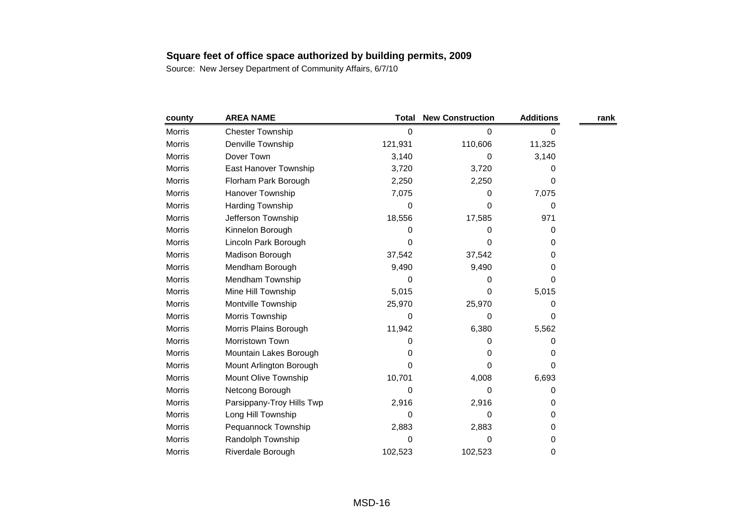| county        | <b>AREA NAME</b>            | Total   | <b>New Construction</b> | <b>Additions</b> | rank |
|---------------|-----------------------------|---------|-------------------------|------------------|------|
| Morris        | <b>Chester Township</b>     | 0       | 0                       | 0                |      |
| Morris        | Denville Township           | 121,931 | 110,606                 | 11,325           |      |
| <b>Morris</b> | Dover Town                  | 3,140   | 0                       | 3,140            |      |
| <b>Morris</b> | East Hanover Township       | 3,720   | 3,720                   | 0                |      |
| <b>Morris</b> | Florham Park Borough        | 2,250   | 2,250                   | 0                |      |
| Morris        | Hanover Township            | 7,075   | 0                       | 7,075            |      |
| Morris        | <b>Harding Township</b>     | 0       | 0                       | 0                |      |
| Morris        | Jefferson Township          | 18,556  | 17,585                  | 971              |      |
| Morris        | Kinnelon Borough            | 0       | 0                       | 0                |      |
| Morris        | Lincoln Park Borough        | 0       | 0                       | 0                |      |
| Morris        | Madison Borough             | 37,542  | 37,542                  | 0                |      |
| <b>Morris</b> | Mendham Borough             | 9,490   | 9,490                   | 0                |      |
| Morris        | Mendham Township            | 0       | 0                       | 0                |      |
| Morris        | Mine Hill Township          | 5,015   | 0                       | 5,015            |      |
| Morris        | Montville Township          | 25,970  | 25,970                  | 0                |      |
| Morris        | Morris Township             | 0       | 0                       | 0                |      |
| <b>Morris</b> | Morris Plains Borough       | 11,942  | 6,380                   | 5,562            |      |
| Morris        | Morristown Town             | 0       | 0                       | 0                |      |
| Morris        | Mountain Lakes Borough      | 0       | 0                       | 0                |      |
| Morris        | Mount Arlington Borough     | 0       | 0                       | 0                |      |
| Morris        | <b>Mount Olive Township</b> | 10,701  | 4,008                   | 6,693            |      |
| <b>Morris</b> | Netcong Borough             | 0       | 0                       | 0                |      |
| Morris        | Parsippany-Troy Hills Twp   | 2,916   | 2,916                   | 0                |      |
| Morris        | Long Hill Township          | 0       | 0                       | 0                |      |
| Morris        | Pequannock Township         | 2,883   | 2,883                   | 0                |      |
| Morris        | Randolph Township           | 0       | 0                       | 0                |      |
| Morris        | Riverdale Borough           | 102,523 | 102,523                 | 0                |      |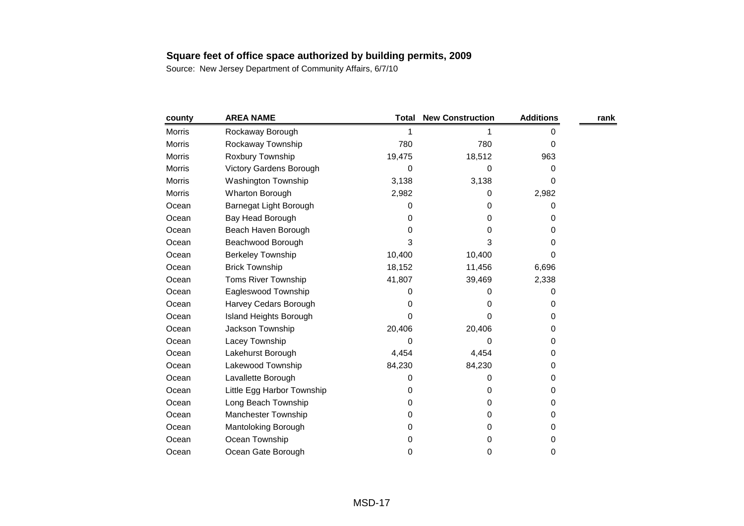| county | <b>AREA NAME</b>              | Total  | <b>New Construction</b> | <b>Additions</b> | rank |
|--------|-------------------------------|--------|-------------------------|------------------|------|
| Morris | Rockaway Borough              |        |                         | 0                |      |
| Morris | Rockaway Township             | 780    | 780                     | 0                |      |
| Morris | Roxbury Township              | 19,475 | 18,512                  | 963              |      |
| Morris | Victory Gardens Borough       | 0      | 0                       | 0                |      |
| Morris | <b>Washington Township</b>    | 3,138  | 3,138                   | 0                |      |
| Morris | Wharton Borough               | 2,982  | 0                       | 2,982            |      |
| Ocean  | Barnegat Light Borough        | 0      | 0                       | 0                |      |
| Ocean  | Bay Head Borough              | 0      | 0                       | 0                |      |
| Ocean  | Beach Haven Borough           | 0      | 0                       | 0                |      |
| Ocean  | Beachwood Borough             | 3      | 3                       | 0                |      |
| Ocean  | <b>Berkeley Township</b>      | 10,400 | 10,400                  | 0                |      |
| Ocean  | <b>Brick Township</b>         | 18,152 | 11,456                  | 6,696            |      |
| Ocean  | Toms River Township           | 41,807 | 39,469                  | 2,338            |      |
| Ocean  | Eagleswood Township           | 0      | 0                       | 0                |      |
| Ocean  | Harvey Cedars Borough         | 0      | 0                       | 0                |      |
| Ocean  | <b>Island Heights Borough</b> | 0      | 0                       | 0                |      |
| Ocean  | Jackson Township              | 20,406 | 20,406                  | 0                |      |
| Ocean  | Lacey Township                | 0      | 0                       | 0                |      |
| Ocean  | Lakehurst Borough             | 4,454  | 4,454                   | 0                |      |
| Ocean  | Lakewood Township             | 84,230 | 84,230                  | 0                |      |
| Ocean  | Lavallette Borough            | 0      | 0                       | 0                |      |
| Ocean  | Little Egg Harbor Township    | 0      | 0                       | 0                |      |
| Ocean  | Long Beach Township           | 0      | 0                       | 0                |      |
| Ocean  | <b>Manchester Township</b>    | 0      | 0                       | 0                |      |
| Ocean  | Mantoloking Borough           | 0      | 0                       | 0                |      |
| Ocean  | Ocean Township                | 0      | 0                       | 0                |      |
| Ocean  | Ocean Gate Borough            | 0      | 0                       | 0                |      |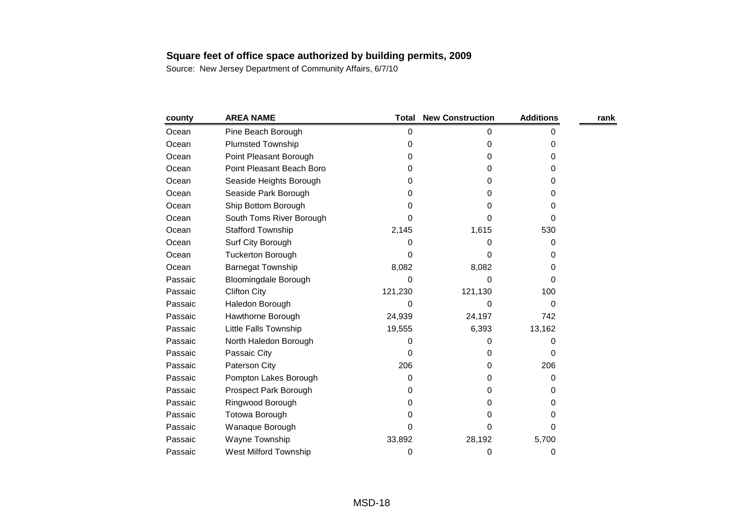| county  | <b>AREA NAME</b>             | Total   | <b>New Construction</b> | <b>Additions</b> | rank |
|---------|------------------------------|---------|-------------------------|------------------|------|
| Ocean   | Pine Beach Borough           | 0       | 0                       | 0                |      |
| Ocean   | <b>Plumsted Township</b>     | 0       | 0                       | 0                |      |
| Ocean   | Point Pleasant Borough       | 0       | 0                       | 0                |      |
| Ocean   | Point Pleasant Beach Boro    | 0       | 0                       | 0                |      |
| Ocean   | Seaside Heights Borough      | 0       | 0                       | 0                |      |
| Ocean   | Seaside Park Borough         | 0       | 0                       | 0                |      |
| Ocean   | Ship Bottom Borough          | 0       | 0                       | 0                |      |
| Ocean   | South Toms River Borough     | 0       | 0                       | 0                |      |
| Ocean   | <b>Stafford Township</b>     | 2,145   | 1,615                   | 530              |      |
| Ocean   | Surf City Borough            | 0       | 0                       | 0                |      |
| Ocean   | <b>Tuckerton Borough</b>     | 0       | 0                       | 0                |      |
| Ocean   | <b>Barnegat Township</b>     | 8,082   | 8,082                   | 0                |      |
| Passaic | <b>Bloomingdale Borough</b>  | 0       | 0                       | 0                |      |
| Passaic | <b>Clifton City</b>          | 121,230 | 121,130                 | 100              |      |
| Passaic | Haledon Borough              | 0       | 0                       | 0                |      |
| Passaic | Hawthorne Borough            | 24,939  | 24,197                  | 742              |      |
| Passaic | Little Falls Township        | 19,555  | 6,393                   | 13,162           |      |
| Passaic | North Haledon Borough        | 0       | 0                       | 0                |      |
| Passaic | Passaic City                 | O       | 0                       | 0                |      |
| Passaic | Paterson City                | 206     | 0                       | 206              |      |
| Passaic | Pompton Lakes Borough        | 0       | 0                       | 0                |      |
| Passaic | Prospect Park Borough        | 0       | 0                       | 0                |      |
| Passaic | Ringwood Borough             | 0       | 0                       | 0                |      |
| Passaic | <b>Totowa Borough</b>        | 0       | 0                       | 0                |      |
| Passaic | Wanaque Borough              | 0       | 0                       | 0                |      |
| Passaic | Wayne Township               | 33,892  | 28,192                  | 5,700            |      |
| Passaic | <b>West Milford Township</b> | 0       | 0                       | 0                |      |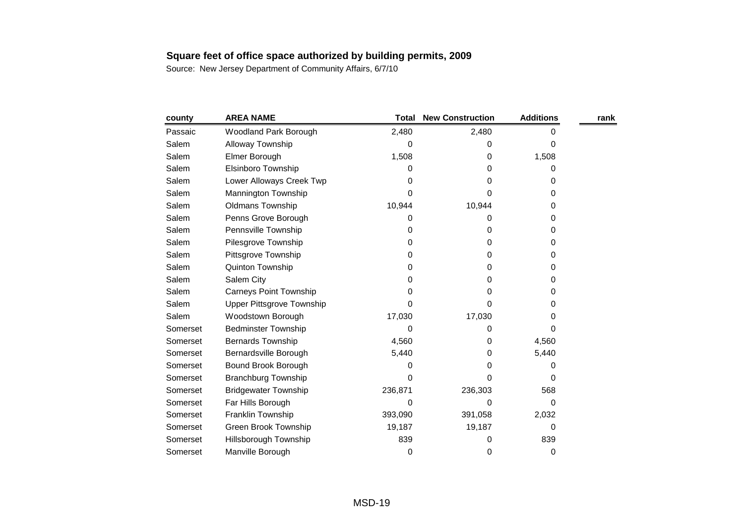| county   | <b>AREA NAME</b>                 | <b>Total</b> | <b>New Construction</b> | <b>Additions</b> | rank |
|----------|----------------------------------|--------------|-------------------------|------------------|------|
| Passaic  | Woodland Park Borough            | 2,480        | 2,480                   |                  |      |
| Salem    | Alloway Township                 | 0            | 0                       | 0                |      |
| Salem    | Elmer Borough                    | 1,508        | 0                       | 1,508            |      |
| Salem    | Elsinboro Township               | 0            | 0                       | 0                |      |
| Salem    | Lower Alloways Creek Twp         | 0            | 0                       | 0                |      |
| Salem    | Mannington Township              | O            | 0                       | 0                |      |
| Salem    | <b>Oldmans Township</b>          | 10,944       | 10,944                  | 0                |      |
| Salem    | Penns Grove Borough              | 0            | 0                       | 0                |      |
| Salem    | Pennsville Township              | 0            | 0                       | 0                |      |
| Salem    | Pilesgrove Township              | 0            | 0                       | 0                |      |
| Salem    | Pittsgrove Township              | 0            | 0                       | 0                |      |
| Salem    | Quinton Township                 | 0            | 0                       | 0                |      |
| Salem    | Salem City                       | 0            | 0                       | 0                |      |
| Salem    | <b>Carneys Point Township</b>    | 0            | 0                       | 0                |      |
| Salem    | <b>Upper Pittsgrove Township</b> | 0            | 0                       | 0                |      |
| Salem    | Woodstown Borough                | 17,030       | 17,030                  | 0                |      |
| Somerset | <b>Bedminster Township</b>       | 0            | 0                       | 0                |      |
| Somerset | <b>Bernards Township</b>         | 4,560        | 0                       | 4,560            |      |
| Somerset | Bernardsville Borough            | 5,440        | 0                       | 5,440            |      |
| Somerset | Bound Brook Borough              | 0            | 0                       | 0                |      |
| Somerset | <b>Branchburg Township</b>       | O            | 0                       | 0                |      |
| Somerset | <b>Bridgewater Township</b>      | 236,871      | 236,303                 | 568              |      |
| Somerset | Far Hills Borough                | 0            | 0                       | 0                |      |
| Somerset | Franklin Township                | 393,090      | 391,058                 | 2,032            |      |
| Somerset | <b>Green Brook Township</b>      | 19,187       | 19,187                  | 0                |      |
| Somerset | Hillsborough Township            | 839          | 0                       | 839              |      |
| Somerset | Manville Borough                 | 0            | 0                       | 0                |      |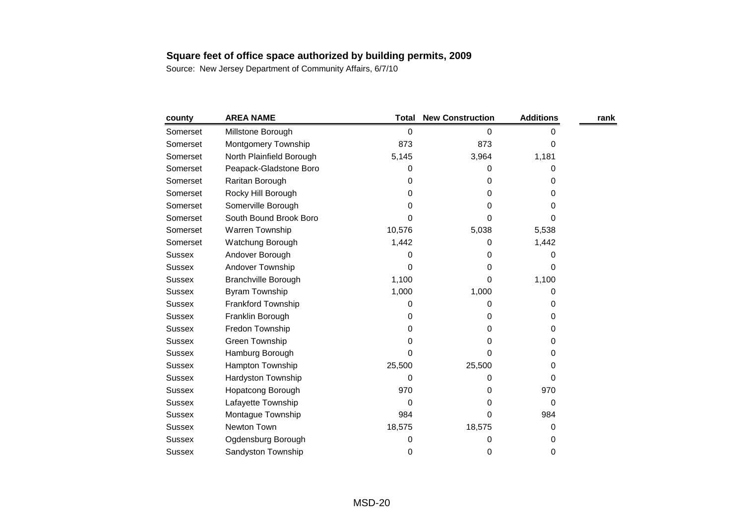| county        | <b>AREA NAME</b>           | <b>Total</b> | <b>New Construction</b> | <b>Additions</b> | rank |
|---------------|----------------------------|--------------|-------------------------|------------------|------|
| Somerset      | Millstone Borough          | 0            | 0                       | 0                |      |
| Somerset      | Montgomery Township        | 873          | 873                     | 0                |      |
| Somerset      | North Plainfield Borough   | 5,145        | 3,964                   | 1,181            |      |
| Somerset      | Peapack-Gladstone Boro     | 0            | 0                       | 0                |      |
| Somerset      | Raritan Borough            | 0            | 0                       | 0                |      |
| Somerset      | Rocky Hill Borough         | 0            | 0                       | 0                |      |
| Somerset      | Somerville Borough         | 0            | 0                       | 0                |      |
| Somerset      | South Bound Brook Boro     | 0            | 0                       | 0                |      |
| Somerset      | Warren Township            | 10,576       | 5,038                   | 5,538            |      |
| Somerset      | Watchung Borough           | 1,442        | 0                       | 1,442            |      |
| <b>Sussex</b> | Andover Borough            | 0            | 0                       | 0                |      |
| <b>Sussex</b> | Andover Township           | 0            | 0                       | 0                |      |
| <b>Sussex</b> | <b>Branchville Borough</b> | 1,100        | 0                       | 1,100            |      |
| Sussex        | <b>Byram Township</b>      | 1,000        | 1,000                   | 0                |      |
| <b>Sussex</b> | Frankford Township         | 0            | 0                       | 0                |      |
| <b>Sussex</b> | Franklin Borough           | 0            | 0                       | 0                |      |
| <b>Sussex</b> | Fredon Township            | 0            | 0                       | 0                |      |
| <b>Sussex</b> | Green Township             | 0            | 0                       | 0                |      |
| <b>Sussex</b> | Hamburg Borough            | 0            | 0                       | 0                |      |
| <b>Sussex</b> | Hampton Township           | 25,500       | 25,500                  | 0                |      |
| <b>Sussex</b> | Hardyston Township         | 0            | 0                       | 0                |      |
| <b>Sussex</b> | Hopatcong Borough          | 970          | 0                       | 970              |      |
| Sussex        | Lafayette Township         | 0            | 0                       | 0                |      |
| <b>Sussex</b> | Montague Township          | 984          | 0                       | 984              |      |
| <b>Sussex</b> | Newton Town                | 18,575       | 18,575                  | 0                |      |
| <b>Sussex</b> | Ogdensburg Borough         | 0            | 0                       | 0                |      |
| Sussex        | Sandyston Township         | 0            | 0                       | 0                |      |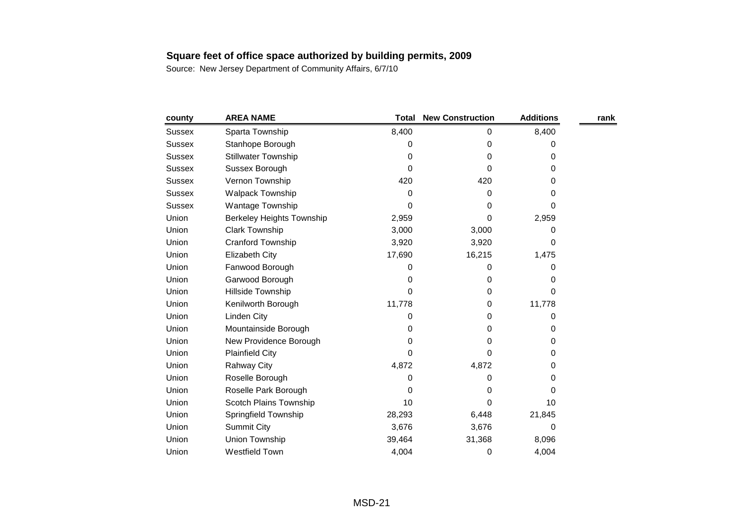| county        | <b>AREA NAME</b>                 | <b>Total</b> | <b>New Construction</b> | <b>Additions</b> | rank |
|---------------|----------------------------------|--------------|-------------------------|------------------|------|
| <b>Sussex</b> | Sparta Township                  | 8,400        | 0                       | 8,400            |      |
| <b>Sussex</b> | Stanhope Borough                 | 0            | 0                       | 0                |      |
| <b>Sussex</b> | <b>Stillwater Township</b>       | 0            | 0                       | 0                |      |
| <b>Sussex</b> | Sussex Borough                   | 0            | 0                       | 0                |      |
| <b>Sussex</b> | Vernon Township                  | 420          | 420                     | 0                |      |
| <b>Sussex</b> | <b>Walpack Township</b>          | 0            | 0                       | 0                |      |
| <b>Sussex</b> | Wantage Township                 | $\Omega$     | 0                       | 0                |      |
| Union         | <b>Berkeley Heights Township</b> | 2,959        | 0                       | 2,959            |      |
| Union         | Clark Township                   | 3,000        | 3,000                   | 0                |      |
| Union         | Cranford Township                | 3,920        | 3,920                   | 0                |      |
| Union         | <b>Elizabeth City</b>            | 17,690       | 16,215                  | 1,475            |      |
| Union         | Fanwood Borough                  | 0            | 0                       | 0                |      |
| Union         | Garwood Borough                  | 0            | 0                       | 0                |      |
| Union         | Hillside Township                | $\Omega$     | $\Omega$                | 0                |      |
| Union         | Kenilworth Borough               | 11,778       | 0                       | 11,778           |      |
| Union         | <b>Linden City</b>               | 0            | 0                       | 0                |      |
| Union         | Mountainside Borough             | 0            | 0                       | 0                |      |
| Union         | New Providence Borough           | 0            | 0                       | 0                |      |
| Union         | <b>Plainfield City</b>           | $\Omega$     | 0                       | 0                |      |
| Union         | <b>Rahway City</b>               | 4,872        | 4,872                   | 0                |      |
| Union         | Roselle Borough                  | 0            | 0                       | 0                |      |
| Union         | Roselle Park Borough             | 0            | 0                       | 0                |      |
| Union         | Scotch Plains Township           | 10           | 0                       | 10               |      |
| Union         | Springfield Township             | 28,293       | 6,448                   | 21,845           |      |
| Union         | <b>Summit City</b>               | 3,676        | 3,676                   | $\Omega$         |      |
| Union         | Union Township                   | 39,464       | 31,368                  | 8,096            |      |
| Union         | <b>Westfield Town</b>            | 4,004        | 0                       | 4,004            |      |